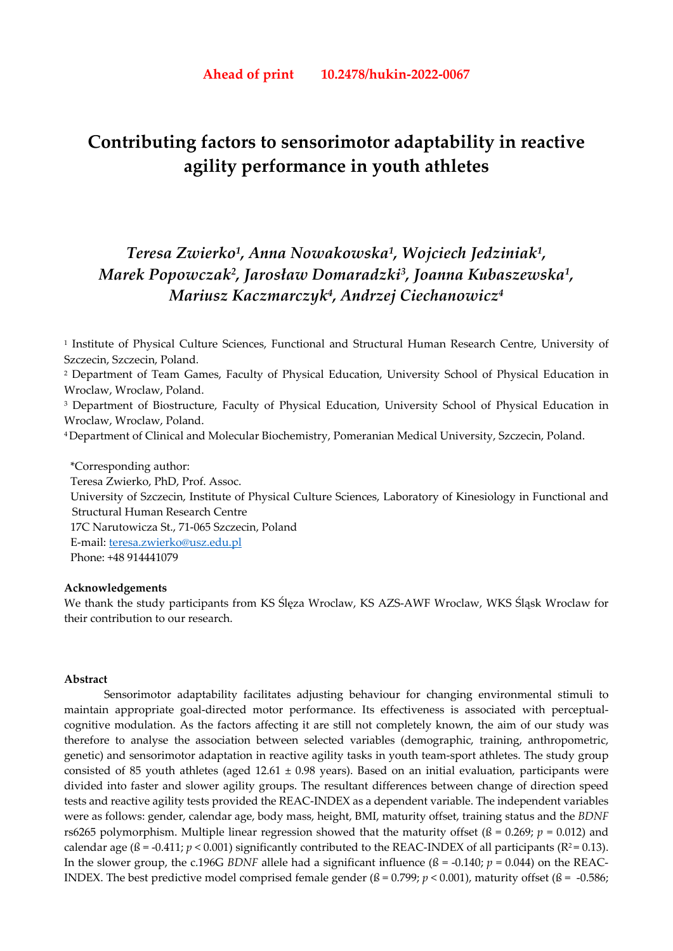# **Contributing factors to sensorimotor adaptability in reactive agility performance in youth athletes**

## *Teresa Zwierko1, Anna Nowakowska1, Wojciech Jedziniak1, Marek Popowczak2, Jarosław Domaradzki3, Joanna Kubaszewska1, Mariusz Kaczmarczyk4, Andrzej Ciechanowicz4*

2 Department of Team Games, Faculty of Physical Education, University School of Physical Education in Wroclaw, Wroclaw, Poland.

3 Department of Biostructure, Faculty of Physical Education, University School of Physical Education in Wroclaw, Wroclaw, Poland.

4 Department of Clinical and Molecular Biochemistry, Pomeranian Medical University, Szczecin, Poland.

\*Corresponding author: Teresa Zwierko, PhD, Prof. Assoc. University of Szczecin, Institute of Physical Culture Sciences, Laboratory of Kinesiology in Functional and Structural Human Research Centre 17C Narutowicza St., 71-065 Szczecin, Poland E-mail: teresa.zwierko@usz.edu.pl Phone: +48 914441079

#### **Acknowledgements**

We thank the study participants from KS Ślęza Wroclaw, KS AZS-AWF Wroclaw, WKS Śląsk Wroclaw for their contribution to our research.

#### **Abstract**

Sensorimotor adaptability facilitates adjusting behaviour for changing environmental stimuli to maintain appropriate goal-directed motor performance. Its effectiveness is associated with perceptualcognitive modulation. As the factors affecting it are still not completely known, the aim of our study was therefore to analyse the association between selected variables (demographic, training, anthropometric, genetic) and sensorimotor adaptation in reactive agility tasks in youth team-sport athletes. The study group consisted of 85 youth athletes (aged  $12.61 \pm 0.98$  years). Based on an initial evaluation, participants were divided into faster and slower agility groups. The resultant differences between change of direction speed tests and reactive agility tests provided the REAC-INDEX as a dependent variable. The independent variables were as follows: gender, calendar age, body mass, height, BMI, maturity offset, training status and the *BDNF* rs6265 polymorphism. Multiple linear regression showed that the maturity offset ( $\beta$  = 0.269;  $p$  = 0.012) and calendar age ( $\beta$  = -0.411;  $p$  < 0.001) significantly contributed to the REAC-INDEX of all participants (R<sup>2</sup> = 0.13). In the slower group, the c.196G *BDNF* allele had a significant influence ( $\beta$  = -0.140;  $p$  = 0.044) on the REAC-INDEX. The best predictive model comprised female gender ( $\beta = 0.799$ ;  $p < 0.001$ ), maturity offset ( $\beta = -0.586$ ;

<sup>1</sup> Institute of Physical Culture Sciences, Functional and Structural Human Research Centre, University of Szczecin, Szczecin, Poland.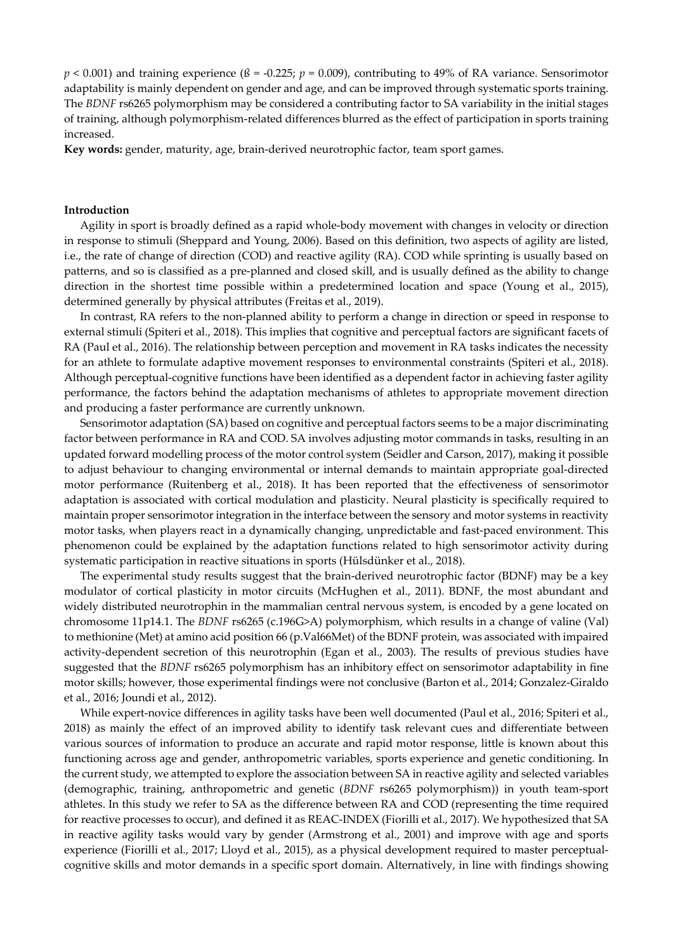$p < 0.001$ ) and training experience ( $\beta = -0.225$ ;  $p = 0.009$ ), contributing to 49% of RA variance. Sensorimotor adaptability is mainly dependent on gender and age, and can be improved through systematic sports training. The *BDNF* rs6265 polymorphism may be considered a contributing factor to SA variability in the initial stages of training, although polymorphism-related differences blurred as the effect of participation in sports training increased.

**Key words:** gender, maturity, age, brain-derived neurotrophic factor, team sport games.

#### **Introduction**

Agility in sport is broadly defined as a rapid whole-body movement with changes in velocity or direction in response to stimuli (Sheppard and Young, 2006). Based on this definition, two aspects of agility are listed, i.e., the rate of change of direction (COD) and reactive agility (RA). COD while sprinting is usually based on patterns, and so is classified as a pre-planned and closed skill, and is usually defined as the ability to change direction in the shortest time possible within a predetermined location and space (Young et al., 2015), determined generally by physical attributes (Freitas et al., 2019).

In contrast, RA refers to the non-planned ability to perform a change in direction or speed in response to external stimuli (Spiteri et al., 2018). This implies that cognitive and perceptual factors are significant facets of RA (Paul et al., 2016). The relationship between perception and movement in RA tasks indicates the necessity for an athlete to formulate adaptive movement responses to environmental constraints (Spiteri et al., 2018). Although perceptual-cognitive functions have been identified as a dependent factor in achieving faster agility performance, the factors behind the adaptation mechanisms of athletes to appropriate movement direction and producing a faster performance are currently unknown.

Sensorimotor adaptation (SA) based on cognitive and perceptual factors seems to be a major discriminating factor between performance in RA and COD. SA involves adjusting motor commands in tasks, resulting in an updated forward modelling process of the motor control system (Seidler and Carson, 2017), making it possible to adjust behaviour to changing environmental or internal demands to maintain appropriate goal-directed motor performance (Ruitenberg et al., 2018). It has been reported that the effectiveness of sensorimotor adaptation is associated with cortical modulation and plasticity. Neural plasticity is specifically required to maintain proper sensorimotor integration in the interface between the sensory and motor systems in reactivity motor tasks, when players react in a dynamically changing, unpredictable and fast-paced environment. This phenomenon could be explained by the adaptation functions related to high sensorimotor activity during systematic participation in reactive situations in sports (Hülsdünker et al., 2018).

The experimental study results suggest that the brain-derived neurotrophic factor (BDNF) may be a key modulator of cortical plasticity in motor circuits (McHughen et al., 2011). BDNF, the most abundant and widely distributed neurotrophin in the mammalian central nervous system, is encoded by a gene located on chromosome 11p14.1. The *BDNF* rs6265 (c.196G>A) polymorphism, which results in a change of valine (Val) to methionine (Met) at amino acid position 66 (p.Val66Met) of the BDNF protein, was associated with impaired activity-dependent secretion of this neurotrophin (Egan et al., 2003). The results of previous studies have suggested that the *BDNF* rs6265 polymorphism has an inhibitory effect on sensorimotor adaptability in fine motor skills; however, those experimental findings were not conclusive (Barton et al., 2014; Gonzalez-Giraldo et al., 2016; Joundi et al., 2012).

While expert-novice differences in agility tasks have been well documented (Paul et al., 2016; Spiteri et al., 2018) as mainly the effect of an improved ability to identify task relevant cues and differentiate between various sources of information to produce an accurate and rapid motor response, little is known about this functioning across age and gender, anthropometric variables, sports experience and genetic conditioning. In the current study, we attempted to explore the association between SA in reactive agility and selected variables (demographic, training, anthropometric and genetic (*BDNF* rs6265 polymorphism)) in youth team-sport athletes. In this study we refer to SA as the difference between RA and COD (representing the time required for reactive processes to occur), and defined it as REAC-INDEX (Fiorilli et al., 2017). We hypothesized that SA in reactive agility tasks would vary by gender (Armstrong et al., 2001) and improve with age and sports experience (Fiorilli et al., 2017; Lloyd et al., 2015), as a physical development required to master perceptualcognitive skills and motor demands in a specific sport domain. Alternatively, in line with findings showing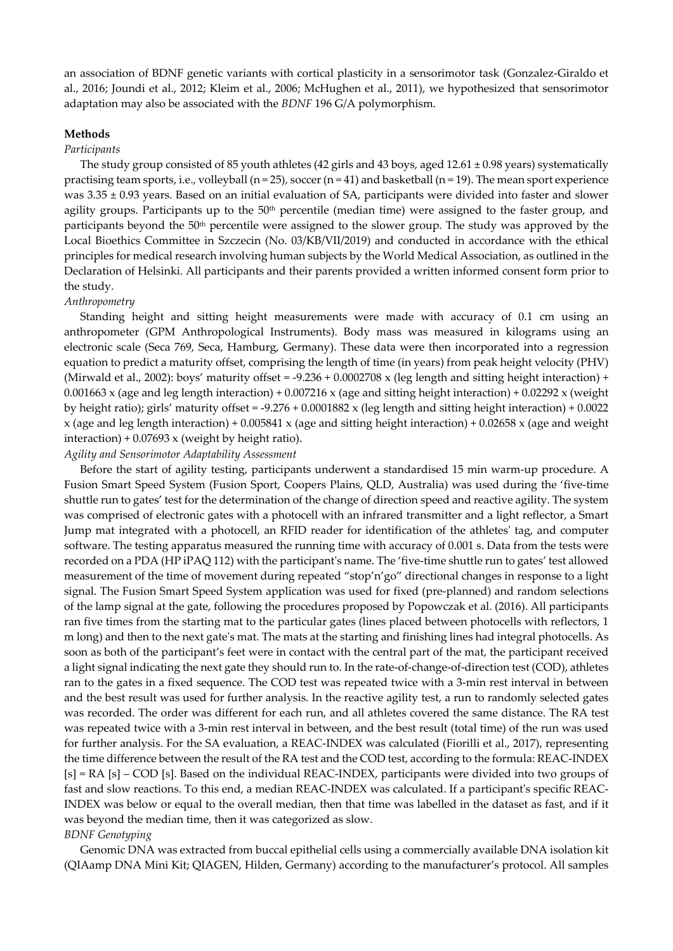an association of BDNF genetic variants with cortical plasticity in a sensorimotor task (Gonzalez-Giraldo et al., 2016; Joundi et al., 2012; Kleim et al., 2006; McHughen et al., 2011), we hypothesized that sensorimotor adaptation may also be associated with the *BDNF* 196 G/A polymorphism.

#### **Methods**

#### *Participants*

The study group consisted of 85 youth athletes (42 girls and 43 boys, aged 12.61 ± 0.98 years) systematically practising team sports, i.e., volleyball ( $n = 25$ ), soccer ( $n = 41$ ) and basketball ( $n = 19$ ). The mean sport experience was 3.35 ± 0.93 years. Based on an initial evaluation of SA, participants were divided into faster and slower agility groups. Participants up to the  $50<sup>th</sup>$  percentile (median time) were assigned to the faster group, and participants beyond the 50<sup>th</sup> percentile were assigned to the slower group. The study was approved by the Local Bioethics Committee in Szczecin (No. 03/KB/VII/2019) and conducted in accordance with the ethical principles for medical research involving human subjects by the World Medical Association, as outlined in the Declaration of Helsinki. All participants and their parents provided a written informed consent form prior to the study.

#### *Anthropometry*

Standing height and sitting height measurements were made with accuracy of 0.1 cm using an anthropometer (GPM Anthropological Instruments). Body mass was measured in kilograms using an electronic scale (Seca 769, Seca, Hamburg, Germany). These data were then incorporated into a regression equation to predict a maturity offset, comprising the length of time (in years) from peak height velocity (PHV) (Mirwald et al., 2002): boys' maturity offset = -9.236 + 0.0002708 x (leg length and sitting height interaction) +  $0.001663$  x (age and leg length interaction) +  $0.007216$  x (age and sitting height interaction) +  $0.02292$  x (weight by height ratio); girls' maturity offset = -9.276 + 0.0001882 x (leg length and sitting height interaction) + 0.0022 x (age and leg length interaction) + 0.005841 x (age and sitting height interaction) + 0.02658 x (age and weight interaction) + 0.07693 x (weight by height ratio).

#### *Agility and Sensorimotor Adaptability Assessment*

Before the start of agility testing, participants underwent a standardised 15 min warm-up procedure. A Fusion Smart Speed System (Fusion Sport, Coopers Plains, QLD, Australia) was used during the 'five-time shuttle run to gates' test for the determination of the change of direction speed and reactive agility. The system was comprised of electronic gates with a photocell with an infrared transmitter and a light reflector, a Smart Jump mat integrated with a photocell, an RFID reader for identification of the athletes' tag, and computer software. The testing apparatus measured the running time with accuracy of 0.001 s. Data from the tests were recorded on a PDA (HP iPAQ 112) with the participant's name. The 'five-time shuttle run to gates' test allowed measurement of the time of movement during repeated "stop'n'go" directional changes in response to a light signal. The Fusion Smart Speed System application was used for fixed (pre-planned) and random selections of the lamp signal at the gate, following the procedures proposed by Popowczak et al. (2016). All participants ran five times from the starting mat to the particular gates (lines placed between photocells with reflectors, 1 m long) and then to the next gate's mat. The mats at the starting and finishing lines had integral photocells. As soon as both of the participant's feet were in contact with the central part of the mat, the participant received a light signal indicating the next gate they should run to. In the rate-of-change-of-direction test (COD), athletes ran to the gates in a fixed sequence. The COD test was repeated twice with a 3-min rest interval in between and the best result was used for further analysis. In the reactive agility test, a run to randomly selected gates was recorded. The order was different for each run, and all athletes covered the same distance. The RA test was repeated twice with a 3-min rest interval in between, and the best result (total time) of the run was used for further analysis. For the SA evaluation, a REAC-INDEX was calculated (Fiorilli et al., 2017), representing the time difference between the result of the RA test and the COD test, according to the formula: REAC-INDEX [s] = RA [s] – COD [s]. Based on the individual REAC-INDEX, participants were divided into two groups of fast and slow reactions. To this end, a median REAC-INDEX was calculated. If a participant's specific REAC-INDEX was below or equal to the overall median, then that time was labelled in the dataset as fast, and if it was beyond the median time, then it was categorized as slow. *BDNF Genotyping*

#### Genomic DNA was extracted from buccal epithelial cells using a commercially available DNA isolation kit (QIAamp DNA Mini Kit; QIAGEN, Hilden, Germany) according to the manufacturer's protocol. All samples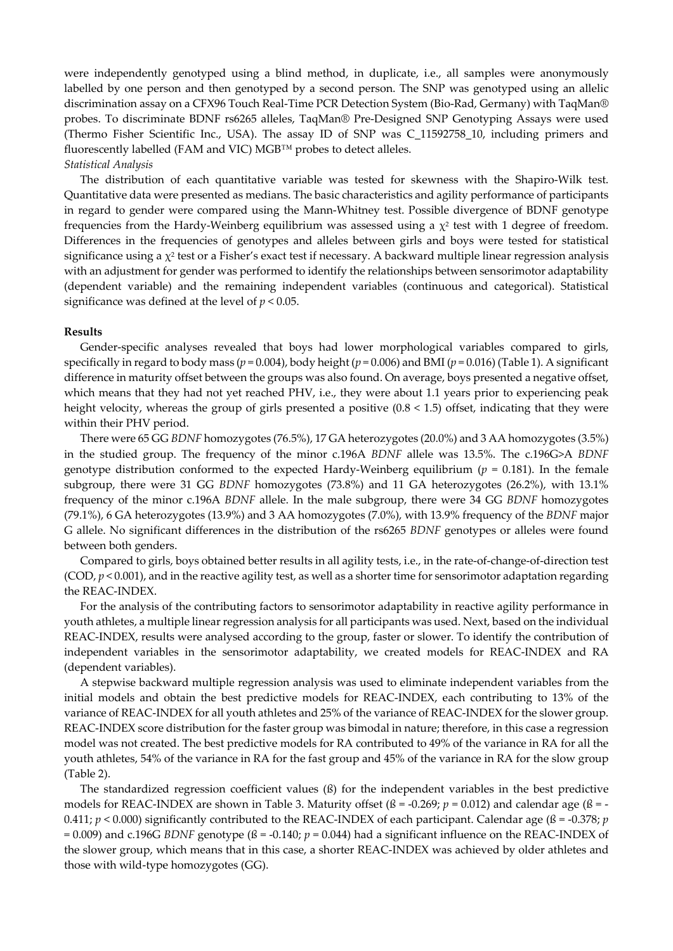were independently genotyped using a blind method, in duplicate, i.e., all samples were anonymously labelled by one person and then genotyped by a second person. The SNP was genotyped using an allelic discrimination assay on a CFX96 Touch Real-Time PCR Detection System (Bio-Rad, Germany) with TaqMan® probes. To discriminate BDNF rs6265 alleles, TaqMan® Pre-Designed SNP Genotyping Assays were used (Thermo Fisher Scientific Inc., USA). The assay ID of SNP was C\_11592758\_10, including primers and fluorescently labelled (FAM and VIC) MGB™ probes to detect alleles.

*Statistical Analysis*

The distribution of each quantitative variable was tested for skewness with the Shapiro-Wilk test. Quantitative data were presented as medians. The basic characteristics and agility performance of participants in regard to gender were compared using the Mann-Whitney test. Possible divergence of BDNF genotype frequencies from the Hardy-Weinberg equilibrium was assessed using a  $\chi^2$  test with 1 degree of freedom. Differences in the frequencies of genotypes and alleles between girls and boys were tested for statistical significance using a  $\chi^2$  test or a Fisher's exact test if necessary. A backward multiple linear regression analysis with an adjustment for gender was performed to identify the relationships between sensorimotor adaptability (dependent variable) and the remaining independent variables (continuous and categorical). Statistical significance was defined at the level of *p* < 0.05.

#### **Results**

Gender-specific analyses revealed that boys had lower morphological variables compared to girls, specifically in regard to body mass (*p* = 0.004), body height (*p* = 0.006) and BMI (*p* = 0.016) (Table 1). A significant difference in maturity offset between the groups was also found. On average, boys presented a negative offset, which means that they had not yet reached PHV, i.e., they were about 1.1 years prior to experiencing peak height velocity, whereas the group of girls presented a positive (0.8 < 1.5) offset, indicating that they were within their PHV period.

There were 65 GG *BDNF* homozygotes (76.5%), 17 GA heterozygotes (20.0%) and 3 AA homozygotes (3.5%) in the studied group. The frequency of the minor c.196A *BDNF* allele was 13.5%. The c.196G>A *BDNF* genotype distribution conformed to the expected Hardy-Weinberg equilibrium ( $p = 0.181$ ). In the female subgroup, there were 31 GG *BDNF* homozygotes (73.8%) and 11 GA heterozygotes (26.2%), with 13.1% frequency of the minor c.196A *BDNF* allele. In the male subgroup, there were 34 GG *BDNF* homozygotes (79.1%), 6 GA heterozygotes (13.9%) and 3 AA homozygotes (7.0%), with 13.9% frequency of the *BDNF* major G allele. No significant differences in the distribution of the rs6265 *BDNF* genotypes or alleles were found between both genders.

Compared to girls, boys obtained better results in all agility tests, i.e., in the rate-of-change-of-direction test (COD,  $p < 0.001$ ), and in the reactive agility test, as well as a shorter time for sensorimotor adaptation regarding the REAC-INDEX.

For the analysis of the contributing factors to sensorimotor adaptability in reactive agility performance in youth athletes, a multiple linear regression analysis for all participants was used. Next, based on the individual REAC-INDEX, results were analysed according to the group, faster or slower. To identify the contribution of independent variables in the sensorimotor adaptability, we created models for REAC-INDEX and RA (dependent variables).

A stepwise backward multiple regression analysis was used to eliminate independent variables from the initial models and obtain the best predictive models for REAC-INDEX, each contributing to 13% of the variance of REAC-INDEX for all youth athletes and 25% of the variance of REAC-INDEX for the slower group. REAC-INDEX score distribution for the faster group was bimodal in nature; therefore, in this case a regression model was not created. The best predictive models for RA contributed to 49% of the variance in RA for all the youth athletes, 54% of the variance in RA for the fast group and 45% of the variance in RA for the slow group (Table 2).

The standardized regression coefficient values (ß) for the independent variables in the best predictive models for REAC-INDEX are shown in Table 3. Maturity offset  $(\beta = -0.269; p = 0.012)$  and calendar age  $(\beta = -1.012)$  $0.411$ ;  $p < 0.000$ ) significantly contributed to the REAC-INDEX of each participant. Calendar age ( $\beta$  = -0.378; *p*  $= 0.009$ ) and c.196G *BDNF* genotype ( $\beta = -0.140$ ;  $p = 0.044$ ) had a significant influence on the REAC-INDEX of the slower group, which means that in this case, a shorter REAC-INDEX was achieved by older athletes and those with wild-type homozygotes (GG).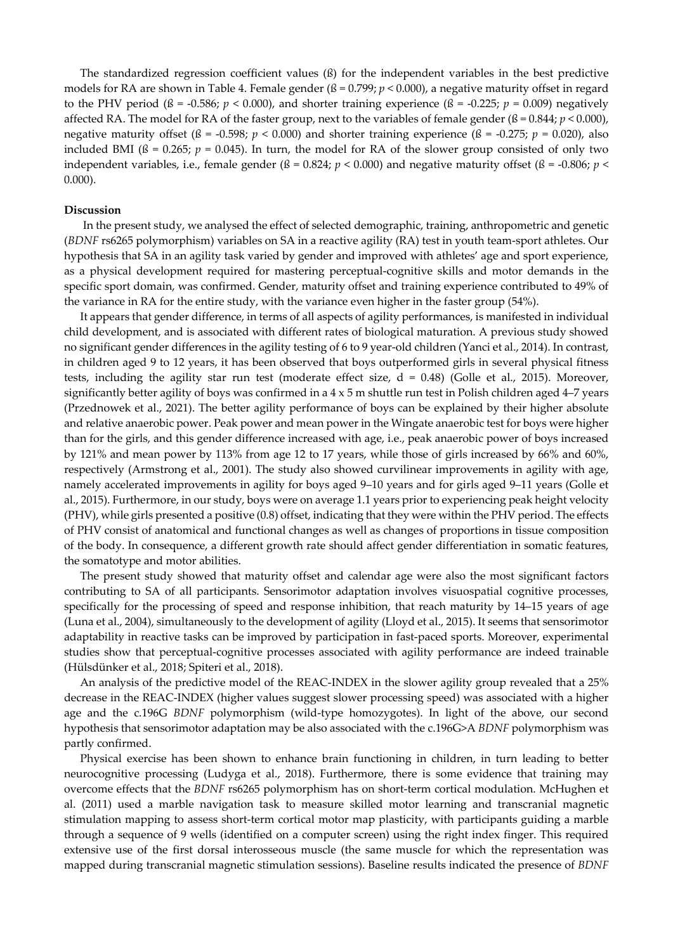The standardized regression coefficient values (ß) for the independent variables in the best predictive models for RA are shown in Table 4. Female gender (ß = 0.799; *p* < 0.000), a negative maturity offset in regard to the PHV period ( $\beta$  = -0.586;  $p < 0.000$ ), and shorter training experience ( $\beta$  = -0.225;  $p = 0.009$ ) negatively affected RA. The model for RA of the faster group, next to the variables of female gender ( $\beta$  = 0.844;  $p$  < 0.000), negative maturity offset ( $\beta$  = -0.598;  $p$  < 0.000) and shorter training experience ( $\beta$  = -0.275;  $p$  = 0.020), also included BMI ( $\beta$  = 0.265;  $p$  = 0.045). In turn, the model for RA of the slower group consisted of only two independent variables, i.e., female gender ( $\beta$  = 0.824;  $p$  < 0.000) and negative maturity offset ( $\beta$  = -0.806;  $p$  < 0.000).

#### **Discussion**

 In the present study, we analysed the effect of selected demographic, training, anthropometric and genetic (*BDNF* rs6265 polymorphism) variables on SA in a reactive agility (RA) test in youth team-sport athletes. Our hypothesis that SA in an agility task varied by gender and improved with athletes' age and sport experience, as a physical development required for mastering perceptual-cognitive skills and motor demands in the specific sport domain, was confirmed. Gender, maturity offset and training experience contributed to 49% of the variance in RA for the entire study, with the variance even higher in the faster group (54%).

It appears that gender difference, in terms of all aspects of agility performances, is manifested in individual child development, and is associated with different rates of biological maturation. A previous study showed no significant gender differences in the agility testing of 6 to 9 year-old children (Yanci et al., 2014). In contrast, in children aged 9 to 12 years, it has been observed that boys outperformed girls in several physical fitness tests, including the agility star run test (moderate effect size,  $d = 0.48$ ) (Golle et al., 2015). Moreover, significantly better agility of boys was confirmed in a 4 x 5 m shuttle run test in Polish children aged 4–7 years (Przednowek et al., 2021). The better agility performance of boys can be explained by their higher absolute and relative anaerobic power. Peak power and mean power in the Wingate anaerobic test for boys were higher than for the girls, and this gender difference increased with age, i.e., peak anaerobic power of boys increased by 121% and mean power by 113% from age 12 to 17 years, while those of girls increased by 66% and 60%, respectively (Armstrong et al., 2001). The study also showed curvilinear improvements in agility with age, namely accelerated improvements in agility for boys aged 9–10 years and for girls aged 9–11 years (Golle et al., 2015). Furthermore, in our study, boys were on average 1.1 years prior to experiencing peak height velocity (PHV), while girls presented a positive (0.8) offset, indicating that they were within the PHV period. The effects of PHV consist of anatomical and functional changes as well as changes of proportions in tissue composition of the body. In consequence, a different growth rate should affect gender differentiation in somatic features, the somatotype and motor abilities.

The present study showed that maturity offset and calendar age were also the most significant factors contributing to SA of all participants. Sensorimotor adaptation involves visuospatial cognitive processes, specifically for the processing of speed and response inhibition, that reach maturity by 14–15 years of age (Luna et al., 2004), simultaneously to the development of agility (Lloyd et al., 2015). It seems that sensorimotor adaptability in reactive tasks can be improved by participation in fast-paced sports. Moreover, experimental studies show that perceptual-cognitive processes associated with agility performance are indeed trainable (Hülsdünker et al., 2018; Spiteri et al., 2018).

An analysis of the predictive model of the REAC-INDEX in the slower agility group revealed that a 25% decrease in the REAC-INDEX (higher values suggest slower processing speed) was associated with a higher age and the c.196G *BDNF* polymorphism (wild-type homozygotes). In light of the above, our second hypothesis that sensorimotor adaptation may be also associated with the c.196G>A *BDNF* polymorphism was partly confirmed.

Physical exercise has been shown to enhance brain functioning in children, in turn leading to better neurocognitive processing (Ludyga et al., 2018). Furthermore, there is some evidence that training may overcome effects that the *BDNF* rs6265 polymorphism has on short-term cortical modulation. McHughen et al. (2011) used a marble navigation task to measure skilled motor learning and transcranial magnetic stimulation mapping to assess short-term cortical motor map plasticity, with participants guiding a marble through a sequence of 9 wells (identified on a computer screen) using the right index finger. This required extensive use of the first dorsal interosseous muscle (the same muscle for which the representation was mapped during transcranial magnetic stimulation sessions). Baseline results indicated the presence of *BDNF*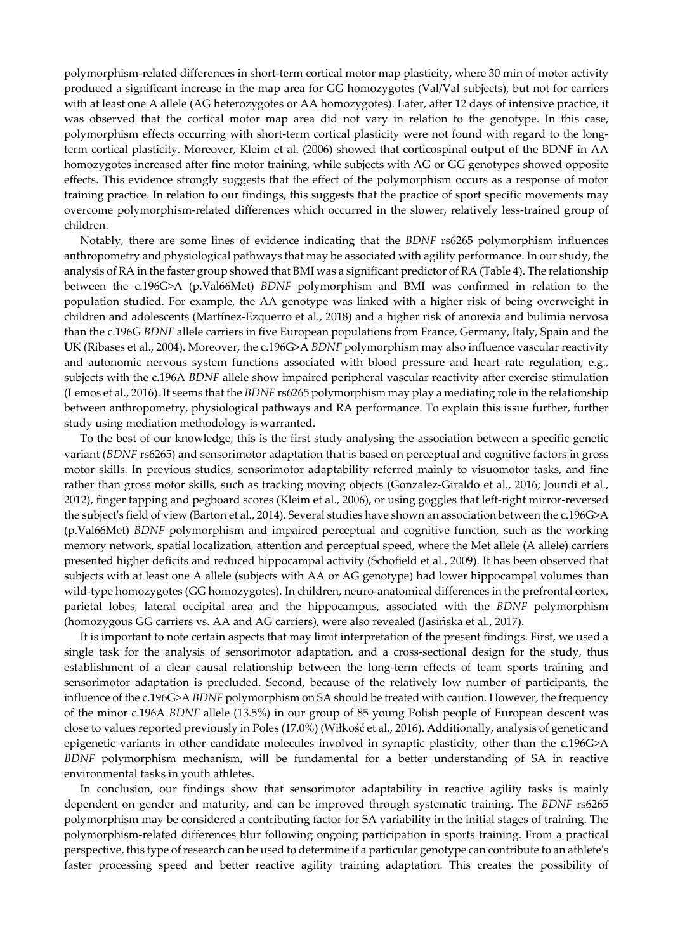polymorphism-related differences in short-term cortical motor map plasticity, where 30 min of motor activity produced a significant increase in the map area for GG homozygotes (Val/Val subjects), but not for carriers with at least one A allele (AG heterozygotes or AA homozygotes). Later, after 12 days of intensive practice, it was observed that the cortical motor map area did not vary in relation to the genotype. In this case, polymorphism effects occurring with short-term cortical plasticity were not found with regard to the longterm cortical plasticity. Moreover, Kleim et al. (2006) showed that corticospinal output of the BDNF in AA homozygotes increased after fine motor training, while subjects with AG or GG genotypes showed opposite effects. This evidence strongly suggests that the effect of the polymorphism occurs as a response of motor training practice. In relation to our findings, this suggests that the practice of sport specific movements may overcome polymorphism-related differences which occurred in the slower, relatively less-trained group of children.

Notably, there are some lines of evidence indicating that the *BDNF* rs6265 polymorphism influences anthropometry and physiological pathways that may be associated with agility performance. In our study, the analysis of RA in the faster group showed that BMI was a significant predictor of RA (Table 4). The relationship between the c.196G>A (p.Val66Met) *BDNF* polymorphism and BMI was confirmed in relation to the population studied. For example, the AA genotype was linked with a higher risk of being overweight in children and adolescents (Martínez-Ezquerro et al., 2018) and a higher risk of anorexia and bulimia nervosa than the c.196G *BDNF* allele carriers in five European populations from France, Germany, Italy, Spain and the UK (Ribases et al., 2004). Moreover, the c.196G>A *BDNF* polymorphism may also influence vascular reactivity and autonomic nervous system functions associated with blood pressure and heart rate regulation, e.g., subjects with the c.196A *BDNF* allele show impaired peripheral vascular reactivity after exercise stimulation (Lemos et al., 2016). It seems that the *BDNF* rs6265 polymorphism may play a mediating role in the relationship between anthropometry, physiological pathways and RA performance. To explain this issue further, further study using mediation methodology is warranted.

To the best of our knowledge, this is the first study analysing the association between a specific genetic variant (*BDNF* rs6265) and sensorimotor adaptation that is based on perceptual and cognitive factors in gross motor skills. In previous studies, sensorimotor adaptability referred mainly to visuomotor tasks, and fine rather than gross motor skills, such as tracking moving objects (Gonzalez-Giraldo et al., 2016; Joundi et al., 2012), finger tapping and pegboard scores (Kleim et al., 2006), or using goggles that left-right mirror-reversed the subject's field of view (Barton et al., 2014). Several studies have shown an association between the c.196G>A (p.Val66Met) *BDNF* polymorphism and impaired perceptual and cognitive function, such as the working memory network, spatial localization, attention and perceptual speed, where the Met allele (A allele) carriers presented higher deficits and reduced hippocampal activity (Schofield et al., 2009). It has been observed that subjects with at least one A allele (subjects with AA or AG genotype) had lower hippocampal volumes than wild-type homozygotes (GG homozygotes). In children, neuro-anatomical differences in the prefrontal cortex, parietal lobes, lateral occipital area and the hippocampus, associated with the *BDNF* polymorphism (homozygous GG carriers vs. AA and AG carriers), were also revealed (Jasińska et al., 2017).

It is important to note certain aspects that may limit interpretation of the present findings. First, we used a single task for the analysis of sensorimotor adaptation, and a cross-sectional design for the study, thus establishment of a clear causal relationship between the long-term effects of team sports training and sensorimotor adaptation is precluded. Second, because of the relatively low number of participants, the influence of the c.196G>A *BDNF* polymorphism on SA should be treated with caution. However, the frequency of the minor c.196A *BDNF* allele (13.5%) in our group of 85 young Polish people of European descent was close to values reported previously in Poles (17.0%) (Wiłkość et al., 2016). Additionally, analysis of genetic and epigenetic variants in other candidate molecules involved in synaptic plasticity, other than the c.196G>A *BDNF* polymorphism mechanism, will be fundamental for a better understanding of SA in reactive environmental tasks in youth athletes.

In conclusion, our findings show that sensorimotor adaptability in reactive agility tasks is mainly dependent on gender and maturity, and can be improved through systematic training. The *BDNF* rs6265 polymorphism may be considered a contributing factor for SA variability in the initial stages of training. The polymorphism-related differences blur following ongoing participation in sports training. From a practical perspective, this type of research can be used to determine if a particular genotype can contribute to an athlete's faster processing speed and better reactive agility training adaptation. This creates the possibility of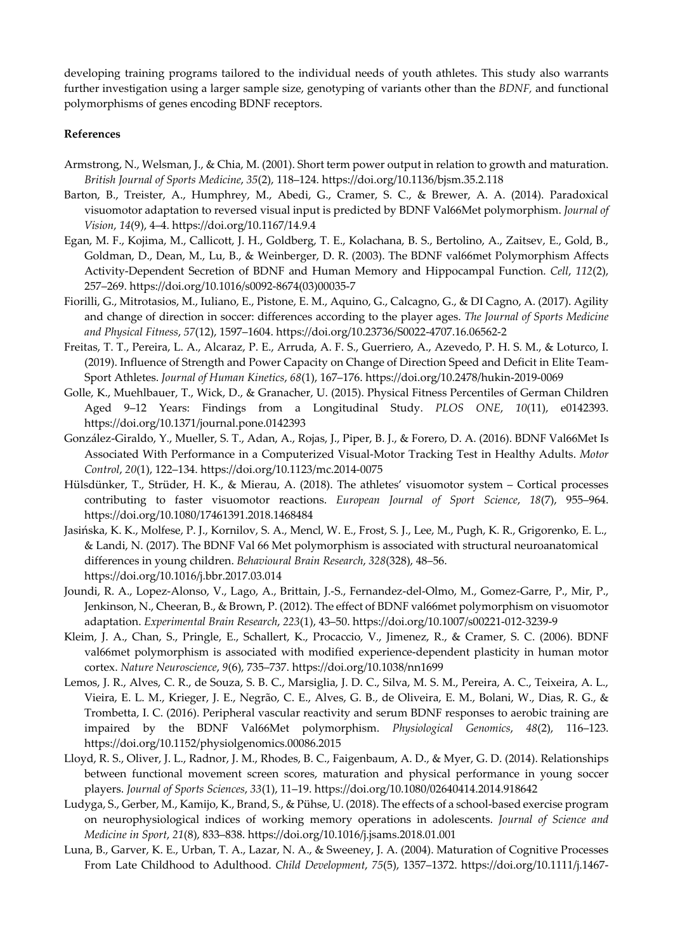developing training programs tailored to the individual needs of youth athletes. This study also warrants further investigation using a larger sample size, genotyping of variants other than the *BDNF,* and functional polymorphisms of genes encoding BDNF receptors.

#### **References**

- Armstrong, N., Welsman, J., & Chia, M. (2001). Short term power output in relation to growth and maturation. *British Journal of Sports Medicine*, *35*(2), 118–124. https://doi.org/10.1136/bjsm.35.2.118
- Barton, B., Treister, A., Humphrey, M., Abedi, G., Cramer, S. C., & Brewer, A. A. (2014). Paradoxical visuomotor adaptation to reversed visual input is predicted by BDNF Val66Met polymorphism. *Journal of Vision*, *14*(9), 4–4. https://doi.org/10.1167/14.9.4
- Egan, M. F., Kojima, M., Callicott, J. H., Goldberg, T. E., Kolachana, B. S., Bertolino, A., Zaitsev, E., Gold, B., Goldman, D., Dean, M., Lu, B., & Weinberger, D. R. (2003). The BDNF val66met Polymorphism Affects Activity-Dependent Secretion of BDNF and Human Memory and Hippocampal Function. *Cell*, *112*(2), 257–269. https://doi.org/10.1016/s0092-8674(03)00035-7
- Fiorilli, G., Mitrotasios, M., Iuliano, E., Pistone, E. M., Aquino, G., Calcagno, G., & DI Cagno, A. (2017). Agility and change of direction in soccer: differences according to the player ages. *The Journal of Sports Medicine and Physical Fitness*, *57*(12), 1597–1604. https://doi.org/10.23736/S0022-4707.16.06562-2
- Freitas, T. T., Pereira, L. A., Alcaraz, P. E., Arruda, A. F. S., Guerriero, A., Azevedo, P. H. S. M., & Loturco, I. (2019). Influence of Strength and Power Capacity on Change of Direction Speed and Deficit in Elite Team-Sport Athletes. *Journal of Human Kinetics*, *68*(1), 167–176. https://doi.org/10.2478/hukin-2019-0069
- Golle, K., Muehlbauer, T., Wick, D., & Granacher, U. (2015). Physical Fitness Percentiles of German Children Aged 9–12 Years: Findings from a Longitudinal Study. *PLOS ONE*, *10*(11), e0142393. https://doi.org/10.1371/journal.pone.0142393
- González-Giraldo, Y., Mueller, S. T., Adan, A., Rojas, J., Piper, B. J., & Forero, D. A. (2016). BDNF Val66Met Is Associated With Performance in a Computerized Visual-Motor Tracking Test in Healthy Adults. *Motor Control*, *20*(1), 122–134. https://doi.org/10.1123/mc.2014-0075
- Hülsdünker, T., Strüder, H. K., & Mierau, A. (2018). The athletes' visuomotor system Cortical processes contributing to faster visuomotor reactions. *European Journal of Sport Science*, *18*(7), 955–964. https://doi.org/10.1080/17461391.2018.1468484
- Jasińska, K. K., Molfese, P. J., Kornilov, S. A., Mencl, W. E., Frost, S. J., Lee, M., Pugh, K. R., Grigorenko, E. L., & Landi, N. (2017). The BDNF Val 66 Met polymorphism is associated with structural neuroanatomical differences in young children. *Behavioural Brain Research*, *328*(328), 48–56. https://doi.org/10.1016/j.bbr.2017.03.014
- Joundi, R. A., Lopez-Alonso, V., Lago, A., Brittain, J.-S., Fernandez-del-Olmo, M., Gomez-Garre, P., Mir, P., Jenkinson, N., Cheeran, B., & Brown, P. (2012). The effect of BDNF val66met polymorphism on visuomotor adaptation. *Experimental Brain Research*, *223*(1), 43–50. https://doi.org/10.1007/s00221-012-3239-9
- Kleim, J. A., Chan, S., Pringle, E., Schallert, K., Procaccio, V., Jimenez, R., & Cramer, S. C. (2006). BDNF val66met polymorphism is associated with modified experience-dependent plasticity in human motor cortex. *Nature Neuroscience*, *9*(6), 735–737. https://doi.org/10.1038/nn1699
- Lemos, J. R., Alves, C. R., de Souza, S. B. C., Marsiglia, J. D. C., Silva, M. S. M., Pereira, A. C., Teixeira, A. L., Vieira, E. L. M., Krieger, J. E., Negrão, C. E., Alves, G. B., de Oliveira, E. M., Bolani, W., Dias, R. G., & Trombetta, I. C. (2016). Peripheral vascular reactivity and serum BDNF responses to aerobic training are impaired by the BDNF Val66Met polymorphism. *Physiological Genomics*, *48*(2), 116–123. https://doi.org/10.1152/physiolgenomics.00086.2015
- Lloyd, R. S., Oliver, J. L., Radnor, J. M., Rhodes, B. C., Faigenbaum, A. D., & Myer, G. D. (2014). Relationships between functional movement screen scores, maturation and physical performance in young soccer players. *Journal of Sports Sciences*, *33*(1), 11–19. https://doi.org/10.1080/02640414.2014.918642
- Ludyga, S., Gerber, M., Kamijo, K., Brand, S., & Pühse, U. (2018). The effects of a school-based exercise program on neurophysiological indices of working memory operations in adolescents. *Journal of Science and Medicine in Sport*, *21*(8), 833–838. https://doi.org/10.1016/j.jsams.2018.01.001
- Luna, B., Garver, K. E., Urban, T. A., Lazar, N. A., & Sweeney, J. A. (2004). Maturation of Cognitive Processes From Late Childhood to Adulthood. *Child Development*, *75*(5), 1357–1372. https://doi.org/10.1111/j.1467-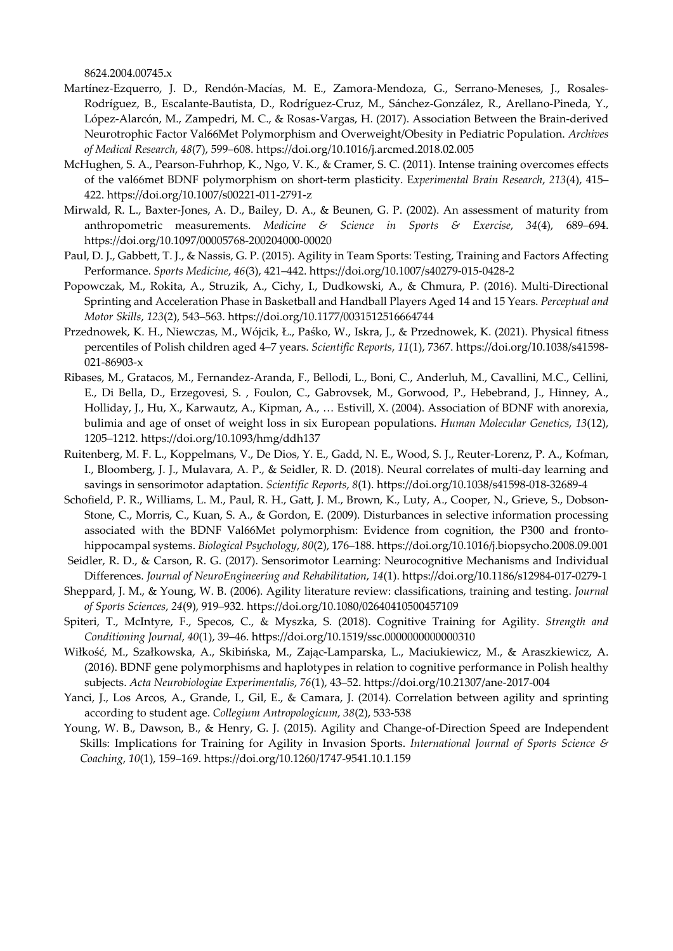8624.2004.00745.x

- Martínez-Ezquerro, J. D., Rendón-Macías, M. E., Zamora-Mendoza, G., Serrano-Meneses, J., Rosales-Rodríguez, B., Escalante-Bautista, D., Rodríguez-Cruz, M., Sánchez-González, R., Arellano-Pineda, Y., López-Alarcón, M., Zampedri, M. C., & Rosas-Vargas, H. (2017). Association Between the Brain-derived Neurotrophic Factor Val66Met Polymorphism and Overweight/Obesity in Pediatric Population. *Archives of Medical Research*, *48*(7), 599–608. https://doi.org/10.1016/j.arcmed.2018.02.005
- McHughen, S. A., Pearson-Fuhrhop, K., Ngo, V. K., & Cramer, S. C. (2011). Intense training overcomes effects of the val66met BDNF polymorphism on short-term plasticity. E*xperimental Brain Research*, *213*(4), 415– 422. https://doi.org/10.1007/s00221-011-2791-z
- Mirwald, R. L., Baxter-Jones, A. D., Bailey, D. A., & Beunen, G. P. (2002). An assessment of maturity from anthropometric measurements. *Medicine & Science in Sports & Exercise*, *34*(4), 689–694. https://doi.org/10.1097/00005768-200204000-00020
- Paul, D. J., Gabbett, T. J., & Nassis, G. P. (2015). Agility in Team Sports: Testing, Training and Factors Affecting Performance. *Sports Medicine*, *46*(3), 421–442. https://doi.org/10.1007/s40279-015-0428-2
- Popowczak, M., Rokita, A., Struzik, A., Cichy, I., Dudkowski, A., & Chmura, P. (2016). Multi-Directional Sprinting and Acceleration Phase in Basketball and Handball Players Aged 14 and 15 Years. *Perceptual and Motor Skills*, *123*(2), 543–563. https://doi.org/10.1177/0031512516664744
- Przednowek, K. H., Niewczas, M., Wójcik, Ł., Paśko, W., Iskra, J., & Przednowek, K. (2021). Physical fitness percentiles of Polish children aged 4–7 years. *Scientific Reports*, *11*(1), 7367. https://doi.org/10.1038/s41598- 021-86903-x
- Ribases, M., Gratacos, M., Fernandez-Aranda, F., Bellodi, L., Boni, C., Anderluh, M., Cavallini, M.C., Cellini, E., Di Bella, D., Erzegovesi, S. , Foulon, C., Gabrovsek, M., Gorwood, P., Hebebrand, J., Hinney, A., Holliday, J., Hu, X., Karwautz, A., Kipman, A., … Estivill, X. (2004). Association of BDNF with anorexia, bulimia and age of onset of weight loss in six European populations. *Human Molecular Genetics*, *13*(12), 1205–1212. https://doi.org/10.1093/hmg/ddh137
- Ruitenberg, M. F. L., Koppelmans, V., De Dios, Y. E., Gadd, N. E., Wood, S. J., Reuter-Lorenz, P. A., Kofman, I., Bloomberg, J. J., Mulavara, A. P., & Seidler, R. D. (2018). Neural correlates of multi-day learning and savings in sensorimotor adaptation. *Scientific Reports*, *8*(1). https://doi.org/10.1038/s41598-018-32689-4
- Schofield, P. R., Williams, L. M., Paul, R. H., Gatt, J. M., Brown, K., Luty, A., Cooper, N., Grieve, S., Dobson-Stone, C., Morris, C., Kuan, S. A., & Gordon, E. (2009). Disturbances in selective information processing associated with the BDNF Val66Met polymorphism: Evidence from cognition, the P300 and frontohippocampal systems. *Biological Psychology*, *80*(2), 176–188. https://doi.org/10.1016/j.biopsycho.2008.09.001
- Seidler, R. D., & Carson, R. G. (2017). Sensorimotor Learning: Neurocognitive Mechanisms and Individual Differences. *Journal of NeuroEngineering and Rehabilitation*, *14*(1). https://doi.org/10.1186/s12984-017-0279-1
- Sheppard, J. M., & Young, W. B. (2006). Agility literature review: classifications, training and testing. *Journal of Sports Sciences*, *24*(9), 919–932. https://doi.org/10.1080/02640410500457109
- Spiteri, T., McIntyre, F., Specos, C., & Myszka, S. (2018). Cognitive Training for Agility. *Strength and Conditioning Journal*, *40*(1), 39–46. https://doi.org/10.1519/ssc.0000000000000310
- Wiłkość, M., Szałkowska, A., Skibińska, M., Zając-Lamparska, L., Maciukiewicz, M., & Araszkiewicz, A. (2016). BDNF gene polymorphisms and haplotypes in relation to cognitive performance in Polish healthy subjects. *Acta Neurobiologiae Experimentalis*, *76*(1), 43–52. https://doi.org/10.21307/ane-2017-004
- Yanci, J., Los Arcos, A., Grande, I., Gil, E., & Camara, J. (2014). Correlation between agility and sprinting according to student age. *Collegium Antropologicum, 38*(2), 533-538
- Young, W. B., Dawson, B., & Henry, G. J. (2015). Agility and Change-of-Direction Speed are Independent Skills: Implications for Training for Agility in Invasion Sports. *International Journal of Sports Science & Coaching*, *10*(1), 159–169. https://doi.org/10.1260/1747-9541.10.1.159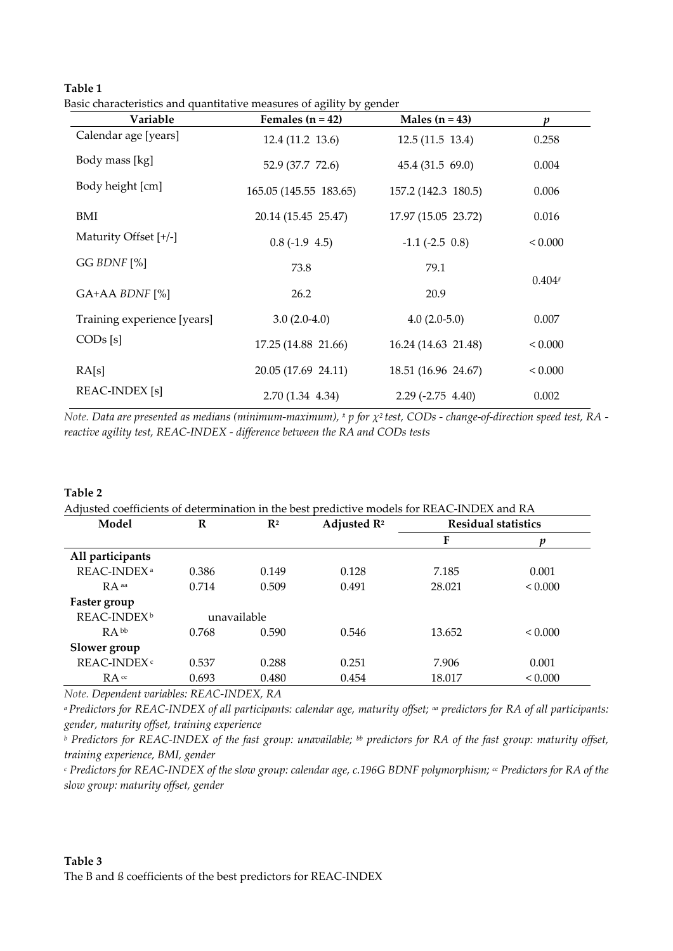| Table 1 |                                                                      |
|---------|----------------------------------------------------------------------|
|         | Basic characteristics and quantitative measures of agility by gender |

| Variable                    | Females $(n = 42)$     | Males $(n = 43)$     | p        |
|-----------------------------|------------------------|----------------------|----------|
| Calendar age [years]        | 12.4(11.2 13.6)        | 12.5(11.5 13.4)      | 0.258    |
| Body mass [kg]              | 52.9 (37.7 72.6)       | 45.4 (31.5 69.0)     | 0.004    |
| Body height [cm]            | 165.05 (145.55 183.65) | 157.2 (142.3 180.5)  | 0.006    |
| BMI                         | 20.14 (15.45 25.47)    | 17.97 (15.05 23.72)  | 0.016    |
| Maturity Offset [+/-]       | $0.8(-1.9 4.5)$        | $-1.1$ ( $-2.5$ 0.8) | < 0.000  |
| GG BDNF [%]                 | 73.8                   | 79.1                 |          |
| $GA+AA$ $BDNF$ $[\%]$       | 26.2                   | 20.9                 | $0.404*$ |
| Training experience [years] | $3.0(2.0-4.0)$         | $4.0(2.0-5.0)$       | 0.007    |
| CODs[s]                     | 17.25 (14.88 21.66)    | 16.24 (14.63 21.48)  | < 0.000  |
| RA[s]                       | 20.05 (17.69 24.11)    | 18.51 (16.96 24.67)  | < 0.000  |
| REAC-INDEX [s]              | 2.70 (1.34 4.34)       | $2.29(-2.75 4.40)$   | 0.002    |

*Note. Data are presented as medians (minimum-maximum), # p for χ2 test, CODs - change-of-direction speed test, RA reactive agility test, REAC-INDEX - difference between the RA and CODs tests*

#### **Table 2**

Adjusted coefficients of determination in the best predictive models for REAC-INDEX and RA

| Model                   | $\bf R$ | $\mathbb{R}^2$ | Adjusted $\mathbb{R}^2$ | <b>Residual statistics</b> |         |
|-------------------------|---------|----------------|-------------------------|----------------------------|---------|
|                         |         |                |                         | F                          | n       |
| All participants        |         |                |                         |                            |         |
| REAC-INDEX <sup>a</sup> | 0.386   | 0.149          | 0.128                   | 7.185                      | 0.001   |
| RA aa                   | 0.714   | 0.509          | 0.491                   | 28.021                     | < 0.000 |
| Faster group            |         |                |                         |                            |         |
| REAC-INDEX <sup>b</sup> |         | unavailable    |                         |                            |         |
| RA <sub>bb</sub>        | 0.768   | 0.590          | 0.546                   | 13.652                     | < 0.000 |
| Slower group            |         |                |                         |                            |         |
| REAC-INDEX <sup>c</sup> | 0.537   | 0.288          | 0.251                   | 7.906                      | 0.001   |
| RA <sup>cc</sup>        | 0.693   | 0.480          | 0.454                   | 18.017                     | < 0.000 |

*Note. Dependent variables: REAC-INDEX, RA*

*a Predictors for REAC-INDEX of all participants: calendar age, maturity offset; aa predictors for RA of all participants: gender, maturity offset, training experience*

*b Predictors for REAC-INDEX of the fast group: unavailable; bb predictors for RA of the fast group: maturity offset, training experience, BMI, gender*

*c Predictors for REAC-INDEX of the slow group: calendar age, c.196G BDNF polymorphism; cc Predictors for RA of the slow group: maturity offset, gender*